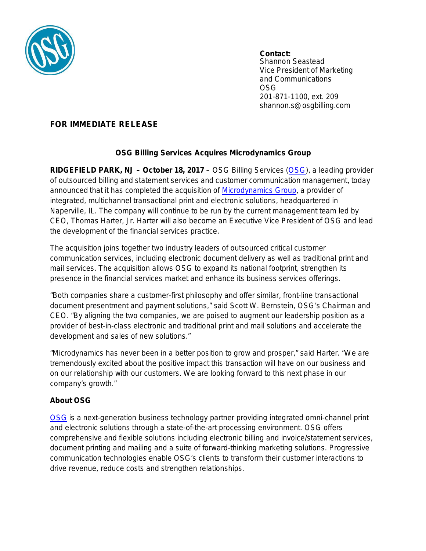

**Contact:** Shannon Seastead Vice President of Marketing and Communications OSG 201-871-1100, ext. 209

shannon.s@osgbilling.com

## **FOR IMMEDIATE RELEASE**

## **OSG Billing Services Acquires Microdynamics Group**

**RIDGEFIELD PARK, NJ – October 18, 2017** – OSG Billing Services [\(OSG\)](http://osgbilling.com/index.asp), a leading provider of outsourced billing and statement services and customer communication management, today announced that it has completed the acquisition of [Microdynamics Group,](http://microdg.com/) a provider of integrated, multichannel transactional print and electronic solutions, headquartered in Naperville, IL. The company will continue to be run by the current management team led by CEO, Thomas Harter, Jr. Harter will also become an Executive Vice President of OSG and lead the development of the financial services practice.

The acquisition joins together two industry leaders of outsourced critical customer communication services, including electronic document delivery as well as traditional print and mail services. The acquisition allows OSG to expand its national footprint, strengthen its presence in the financial services market and enhance its business services offerings.

"Both companies share a customer-first philosophy and offer similar, front-line transactional document presentment and payment solutions," said Scott W. Bernstein, OSG's Chairman and CEO. "By aligning the two companies, we are poised to augment our leadership position as a provider of best-in-class electronic and traditional print and mail solutions and accelerate the development and sales of new solutions."

"Microdynamics has never been in a better position to grow and prosper," said Harter. "We are tremendously excited about the positive impact this transaction will have on our business and on our relationship with our customers. We are looking forward to this next phase in our company's growth."

## **About OSG**

[OSG](http://osgbilling.com/index.asp) is a next-generation business technology partner providing integrated omni-channel print and electronic solutions through a state-of-the-art processing environment. OSG offers comprehensive and flexible solutions including electronic billing and invoice/statement services, document printing and mailing and a suite of forward-thinking marketing solutions. Progressive communication technologies enable OSG's clients to transform their customer interactions to drive revenue, reduce costs and strengthen relationships.